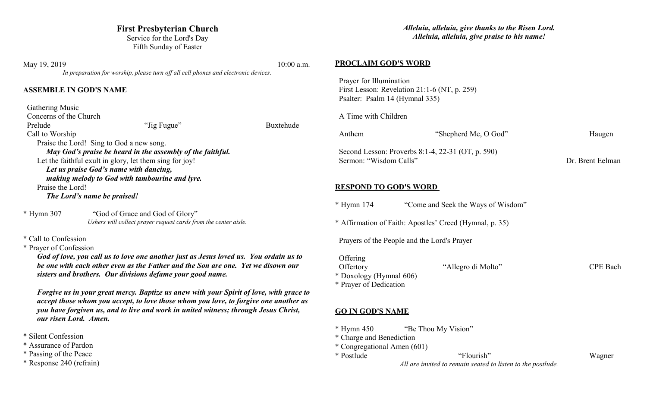# **First Presbyterian Church**

Service for the Lord's Day Fifth Sunday of Easter

May 19, 2019 10:00 a.m. *In preparation for worship, please turn off all cell phones and electronic devices.*

#### **ASSEMBLE IN GOD'S NAME**

| Gathering Music                                                                  |                                                                                         |           |              |  |
|----------------------------------------------------------------------------------|-----------------------------------------------------------------------------------------|-----------|--------------|--|
| Concerns of the Church                                                           |                                                                                         |           | A Tim        |  |
| Prelude                                                                          | "Jig Fugue"                                                                             | Buxtehude |              |  |
| Call to Worship                                                                  |                                                                                         |           | Anthe        |  |
|                                                                                  | Praise the Lord! Sing to God a new song.                                                |           |              |  |
|                                                                                  | May God's praise be heard in the assembly of the faithful.                              |           | Secon        |  |
| Let the faithful exult in glory, let them sing for joy!                          |                                                                                         |           |              |  |
|                                                                                  | Let us praise God's name with dancing,                                                  |           |              |  |
|                                                                                  | making melody to God with tambourine and lyre.                                          |           |              |  |
| Praise the Lord!                                                                 |                                                                                         |           | <b>RESPO</b> |  |
|                                                                                  | The Lord's name be praised!                                                             |           |              |  |
|                                                                                  |                                                                                         |           | * Hymr       |  |
| * Hymn 307                                                                       | "God of Grace and God of Glory"                                                         |           |              |  |
|                                                                                  | Ushers will collect prayer request cards from the center aisle.                         |           | * Affin      |  |
| * Call to Confession                                                             |                                                                                         |           | Prayer       |  |
| * Prayer of Confession                                                           |                                                                                         |           |              |  |
|                                                                                  | God of love, you call us to love one another just as Jesus loved us. You ordain us to   |           | Offeri       |  |
| be one with each other even as the Father and the Son are one. Yet we disown our |                                                                                         |           |              |  |
| sisters and brothers. Our divisions defame your good name.                       |                                                                                         |           | * Doxo       |  |
|                                                                                  |                                                                                         |           | * Praye      |  |
|                                                                                  | Forgive us in your great mercy. Baptize us anew with your Spirit of love, with grace to |           |              |  |
|                                                                                  | accept those whom you accept, to love those whom you love, to forgive one another as    |           |              |  |
|                                                                                  | you have forgiven us, and to live and work in united witness; through Jesus Christ,     |           | <b>GO IN</b> |  |

- \* Silent Confession
- \* Assurance of Pardon
- \* Passing of the Peace

*our risen Lord. Amen.* 

\* Response 240 (refrain)

### *Alleluia, alleluia, give thanks to the Risen Lord. Alleluia, alleluia, give praise to his name!*

#### **PROCLAIM GOD'S WORD**

 Prayer for Illumination First Lesson: Revelation 21:1-6 (NT, p. 259) Psalter: Psalm 14 (Hymnal 335)

Time with Children

| Anthem                 | "Shepherd Me, O God"                              | Haugen           |
|------------------------|---------------------------------------------------|------------------|
| Sermon: "Wisdom Calls" | Second Lesson: Proverbs 8:1-4, 22-31 (OT, p. 590) | Dr. Brent Eelman |

### **SPOND TO GOD'S WORD**

fymn 174 "Come and Seek the Ways of Wisdom"

ffirmation of Faith: Apostles' Creed (Hymnal, p. 35)

rayers of the People and the Lord's Prayer

| <b>O</b> IIering        |                    |                 |
|-------------------------|--------------------|-----------------|
| Offertory               | "Allegro di Molto" | <b>CPE</b> Bach |
| * Doxology (Hymnal 606) |                    |                 |
| * Prayer of Dedication  |                    |                 |

## **GO IN GOD'S NAME**

- \* Hymn 450 "Be Thou My Vision"
- \* Charge and Benediction
- \* Congregational Amen (601)
- \* Postlude "Flourish" Wagner

*All are invited to remain seated to listen to the postlude.*